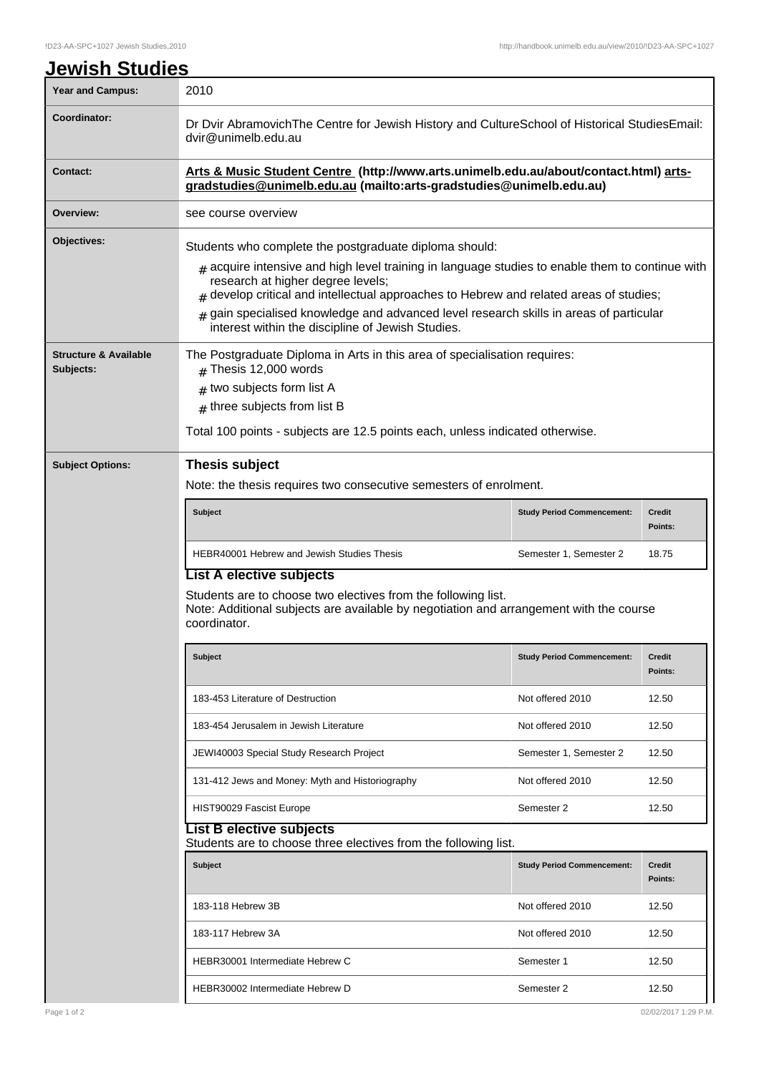| <u> Jewish Studies</u>           |                                                                                                                                                                                                                                                                                                                                                                                     |                                   |                          |  |  |
|----------------------------------|-------------------------------------------------------------------------------------------------------------------------------------------------------------------------------------------------------------------------------------------------------------------------------------------------------------------------------------------------------------------------------------|-----------------------------------|--------------------------|--|--|
| <b>Year and Campus:</b>          | 2010                                                                                                                                                                                                                                                                                                                                                                                |                                   |                          |  |  |
| Coordinator:                     | Dr Dvir Abramovich The Centre for Jewish History and Culture School of Historical Studies Email:<br>dvir@unimelb.edu.au                                                                                                                                                                                                                                                             |                                   |                          |  |  |
| <b>Contact:</b>                  | Arts & Music Student Centre (http://www.arts.unimelb.edu.au/about/contact.html) arts-<br>gradstudies@unimelb.edu.au (mailto:arts-gradstudies@unimelb.edu.au)                                                                                                                                                                                                                        |                                   |                          |  |  |
| Overview:                        | see course overview                                                                                                                                                                                                                                                                                                                                                                 |                                   |                          |  |  |
| Objectives:                      | Students who complete the postgraduate diploma should:                                                                                                                                                                                                                                                                                                                              |                                   |                          |  |  |
|                                  | $_{\#}$ acquire intensive and high level training in language studies to enable them to continue with<br>research at higher degree levels;<br>$#$ develop critical and intellectual approaches to Hebrew and related areas of studies;<br>gain specialised knowledge and advanced level research skills in areas of particular<br>interest within the discipline of Jewish Studies. |                                   |                          |  |  |
| <b>Structure &amp; Available</b> | The Postgraduate Diploma in Arts in this area of specialisation requires:                                                                                                                                                                                                                                                                                                           |                                   |                          |  |  |
| Subjects:                        | $#$ Thesis 12,000 words                                                                                                                                                                                                                                                                                                                                                             |                                   |                          |  |  |
|                                  | $#$ two subjects form list A                                                                                                                                                                                                                                                                                                                                                        |                                   |                          |  |  |
|                                  | $#$ three subjects from list B                                                                                                                                                                                                                                                                                                                                                      |                                   |                          |  |  |
|                                  | Total 100 points - subjects are 12.5 points each, unless indicated otherwise.                                                                                                                                                                                                                                                                                                       |                                   |                          |  |  |
| <b>Subject Options:</b>          | <b>Thesis subject</b>                                                                                                                                                                                                                                                                                                                                                               |                                   |                          |  |  |
|                                  | Note: the thesis requires two consecutive semesters of enrolment.                                                                                                                                                                                                                                                                                                                   |                                   |                          |  |  |
|                                  | <b>Subject</b>                                                                                                                                                                                                                                                                                                                                                                      | <b>Study Period Commencement:</b> | <b>Credit</b><br>Points: |  |  |
|                                  | HEBR40001 Hebrew and Jewish Studies Thesis                                                                                                                                                                                                                                                                                                                                          | Semester 1, Semester 2            | 18.75                    |  |  |
|                                  | <b>List A elective subjects</b>                                                                                                                                                                                                                                                                                                                                                     |                                   |                          |  |  |
|                                  | Students are to choose two electives from the following list.<br>Note: Additional subjects are available by negotiation and arrangement with the course<br>coordinator.                                                                                                                                                                                                             |                                   |                          |  |  |
|                                  | <b>Subject</b>                                                                                                                                                                                                                                                                                                                                                                      | <b>Study Period Commencement:</b> | <b>Credit</b><br>Points: |  |  |
|                                  | 183-453 Literature of Destruction                                                                                                                                                                                                                                                                                                                                                   | Not offered 2010                  | 12.50                    |  |  |
|                                  | 183-454 Jerusalem in Jewish Literature                                                                                                                                                                                                                                                                                                                                              | Not offered 2010                  | 12.50                    |  |  |
|                                  | JEWI40003 Special Study Research Project                                                                                                                                                                                                                                                                                                                                            | Semester 1, Semester 2            | 12.50                    |  |  |
|                                  | 131-412 Jews and Money: Myth and Historiography                                                                                                                                                                                                                                                                                                                                     | Not offered 2010                  | 12.50                    |  |  |
|                                  | HIST90029 Fascist Europe                                                                                                                                                                                                                                                                                                                                                            | Semester 2                        | 12.50                    |  |  |
|                                  | List B elective subjects<br>Students are to choose three electives from the following list.                                                                                                                                                                                                                                                                                         |                                   |                          |  |  |
|                                  | <b>Subject</b>                                                                                                                                                                                                                                                                                                                                                                      | <b>Study Period Commencement:</b> | <b>Credit</b><br>Points: |  |  |
|                                  | 183-118 Hebrew 3B                                                                                                                                                                                                                                                                                                                                                                   | Not offered 2010                  | 12.50                    |  |  |
|                                  | 183-117 Hebrew 3A                                                                                                                                                                                                                                                                                                                                                                   | Not offered 2010                  | 12.50                    |  |  |
|                                  | HEBR30001 Intermediate Hebrew C                                                                                                                                                                                                                                                                                                                                                     | Semester 1                        | 12.50                    |  |  |

HEBR30002 Intermediate Hebrew D Semester 2 12.50